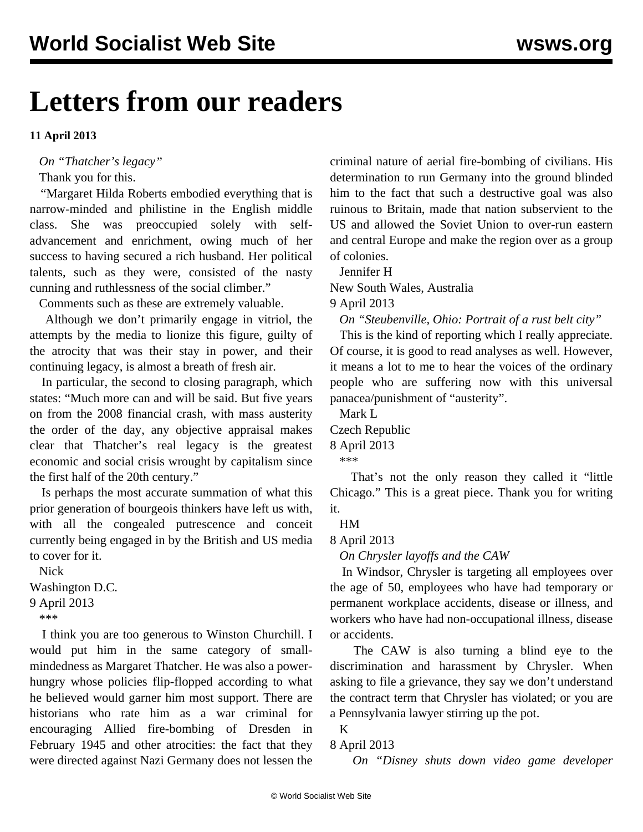## **Letters from our readers**

**11 April 2013**

*On "[Thatcher's legacy"](/en/articles/2013/04/09/pers-a09.html)*

Thank you for this.

 "Margaret Hilda Roberts embodied everything that is narrow-minded and philistine in the English middle class. She was preoccupied solely with selfadvancement and enrichment, owing much of her success to having secured a rich husband. Her political talents, such as they were, consisted of the nasty cunning and ruthlessness of the social climber."

Comments such as these are extremely valuable.

 Although we don't primarily engage in vitriol, the attempts by the media to lionize this figure, guilty of the atrocity that was their stay in power, and their continuing legacy, is almost a breath of fresh air.

 In particular, the second to closing paragraph, which states: "Much more can and will be said. But five years on from the 2008 financial crash, with mass austerity the order of the day, any objective appraisal makes clear that Thatcher's real legacy is the greatest economic and social crisis wrought by capitalism since the first half of the 20th century."

 Is perhaps the most accurate summation of what this prior generation of bourgeois thinkers have left us with, with all the congealed putrescence and conceit currently being engaged in by the British and US media to cover for it.

 Nick Washington D.C. 9 April 2013 \*\*\*

 I think you are too generous to Winston Churchill. I would put him in the same category of smallmindedness as Margaret Thatcher. He was also a powerhungry whose policies flip-flopped according to what he believed would garner him most support. There are historians who rate him as a war criminal for encouraging Allied fire-bombing of Dresden in February 1945 and other atrocities: the fact that they were directed against Nazi Germany does not lessen the

criminal nature of aerial fire-bombing of civilians. His determination to run Germany into the ground blinded him to the fact that such a destructive goal was also ruinous to Britain, made that nation subservient to the US and allowed the Soviet Union to over-run eastern and central Europe and make the region over as a group of colonies.

Jennifer H

New South Wales, Australia

9 April 2013

*On "[Steubenville, Ohio: Portrait of a rust belt city](/en/articles/2013/04/08/rust-a08.html)"*

 This is the kind of reporting which I really appreciate. Of course, it is good to read analyses as well. However, it means a lot to me to hear the voices of the ordinary people who are suffering now with this universal panacea/punishment of "austerity".

 Mark L Czech Republic 8 April 2013

\*\*\*

 That's not the only reason they called it "little Chicago." This is a great piece. Thank you for writing it.

HM

8 April 2013

*On Chrysler layoffs and the CAW*

 In Windsor, Chrysler is targeting all employees over the age of 50, employees who have had temporary or permanent workplace accidents, disease or illness, and workers who have had non-occupational illness, disease or accidents.

 The CAW is also turning a blind eye to the discrimination and harassment by Chrysler. When asking to file a grievance, they say we don't understand the contract term that Chrysler has violated; or you are a Pennsylvania lawyer stirring up the pot.

## 8 April 2013

K

*On ["Disney shuts down video game developer](/en/articles/2013/04/06/luca-a06.html)*